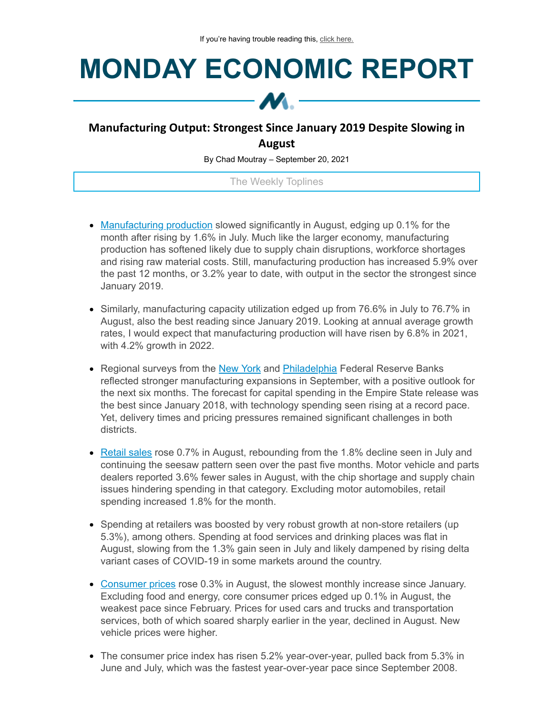## **MONDAY ECONOMIC REPORT**



## **Manufacturing Output: Strongest Since January 2019 Despite Slowing in August**

By Chad Moutray – September 20, 2021

The Weekly Toplines

- [Manufacturing](https://click.email.nam.org/?qs=e1ae04021e84bfa15c08a031c17e00b71bf8d455d55ef99131b35cb33eb3ff40ca56a24794ec74ee8fcc5e73b997567c8a2b90c8e1cfcb03) production slowed significantly in August, edging up 0.1% for the month after rising by 1.6% in July. Much like the larger economy, manufacturing production has softened likely due to supply chain disruptions, workforce shortages and rising raw material costs. Still, manufacturing production has increased 5.9% over the past 12 months, or 3.2% year to date, with output in the sector the strongest since January 2019.
- Similarly, manufacturing capacity utilization edged up from 76.6% in July to 76.7% in August, also the best reading since January 2019. Looking at annual average growth rates, I would expect that manufacturing production will have risen by 6.8% in 2021, with 4.2% growth in 2022.
- Regional surveys from the [New](https://click.email.nam.org/?qs=e1ae04021e84bfa1800f7c485502af0ae05b20c958c04fbc9466e7f56ab6bce991f04c30ab2f6e66b315b7d293794a80a14180bf05959c98) York and [Philadelphia](https://click.email.nam.org/?qs=e1ae04021e84bfa1660549d9f617827701b380faaf9688ab8bcb2873d021b24559366fcb46a944faf88024a574d507c32db7a746ad274bf5) Federal Reserve Banks reflected stronger manufacturing expansions in September, with a positive outlook for the next six months. The forecast for capital spending in the Empire State release was the best since January 2018, with technology spending seen rising at a record pace. Yet, delivery times and pricing pressures remained significant challenges in both districts.
- [Retail](https://click.email.nam.org/?qs=0f126c7ac43071ef5eb4e44dafa6ff79c839eb40243425b69d22150acb1a7e6f8a1402f9cad91630de01d11ad9da76409850f73793cac626) sales rose 0.7% in August, rebounding from the 1.8% decline seen in July and continuing the seesaw pattern seen over the past five months. Motor vehicle and parts dealers reported 3.6% fewer sales in August, with the chip shortage and supply chain issues hindering spending in that category. Excluding motor automobiles, retail spending increased 1.8% for the month.
- Spending at retailers was boosted by very robust growth at non-store retailers (up 5.3%), among others. Spending at food services and drinking places was flat in August, slowing from the 1.3% gain seen in July and likely dampened by rising delta variant cases of COVID-19 in some markets around the country.
- [Consumer](https://click.email.nam.org/?qs=0f126c7ac43071ef25c3989a57e24be99185d45a860409e9f8c14d56b33ca6fd7d53787c7f0d3dc7aec9a9b7279aa931bda26978684506a9) prices rose 0.3% in August, the slowest monthly increase since January. Excluding food and energy, core consumer prices edged up 0.1% in August, the weakest pace since February. Prices for used cars and trucks and transportation services, both of which soared sharply earlier in the year, declined in August. New vehicle prices were higher.
- The consumer price index has risen 5.2% year-over-year, pulled back from 5.3% in June and July, which was the fastest year-over-year pace since September 2008.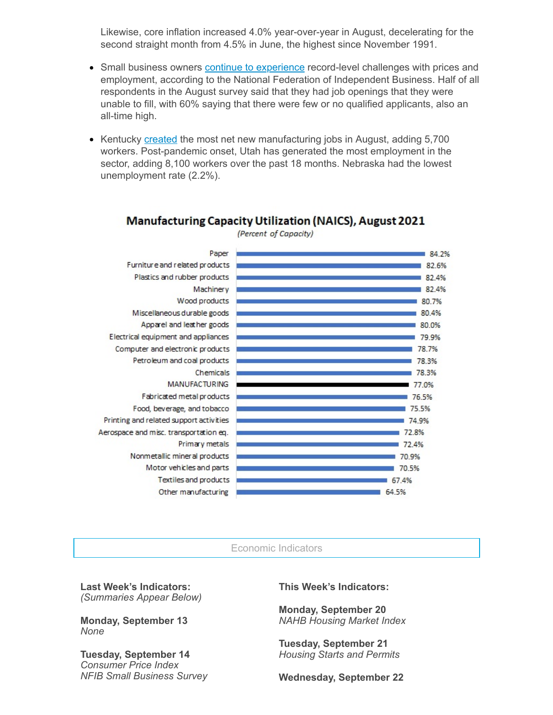Likewise, core inflation increased 4.0% year-over-year in August, decelerating for the second straight month from 4.5% in June, the highest since November 1991.

- Small business owners continue to [experience](https://click.email.nam.org/?qs=0f126c7ac43071efa19dd95cec4f303681e261396441c194d3adda7d2134f3e77834eca1f146cec29942686843c47f931fb34e90e587529f) record-level challenges with prices and employment, according to the National Federation of Independent Business. Half of all respondents in the August survey said that they had job openings that they were unable to fill, with 60% saying that there were few or no qualified applicants, also an all-time high.
- Kentucky [created](https://click.email.nam.org/?qs=0f126c7ac43071ef6aba8ba9ac0556acc1313a92fb42a6c86fe6e44da90684f56d50281d9d90b55c1c310b55e1c5385ce5bef76b73d7c127) the most net new manufacturing jobs in August, adding 5,700 workers. Post-pandemic onset, Utah has generated the most employment in the sector, adding 8,100 workers over the past 18 months. Nebraska had the lowest unemployment rate (2.2%).



**Manufacturing Capacity Utilization (NAICS), August 2021** 

(Percent of Capacity)

## Economic Indicators

**Last Week's Indicators:** *(Summaries Appear Below)*

**Monday, September 13** *None*

**Tuesday, September 14** *Consumer Price Index NFIB Small Business Survey* **This Week's Indicators:**

**Monday, September 20** *NAHB Housing Market Index*

**Tuesday, September 21** *Housing Starts and Permits*

**Wednesday, September 22**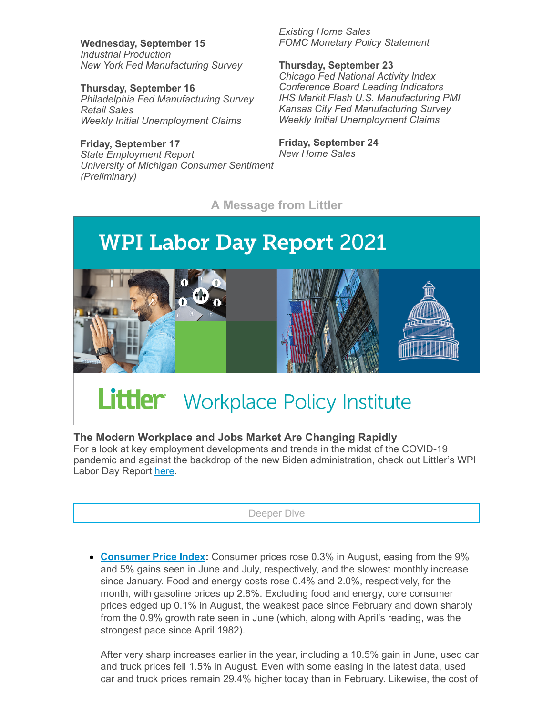**Wednesday, September 15** *Industrial Production New York Fed Manufacturing Survey*

**Thursday, September 16** *Philadelphia Fed Manufacturing Survey Retail Sales Weekly Initial Unemployment Claims*

**Friday, September 17** *State Employment Report University of Michigan Consumer Sentiment (Preliminary)*

*Existing Home Sales FOMC Monetary Policy Statement*

**Thursday, September 23** *Chicago Fed National Activity Index Conference Board Leading Indicators IHS Markit Flash U.S. Manufacturing PMI Kansas City Fed Manufacturing Survey Weekly Initial Unemployment Claims*

**Friday, September 24** *New Home Sales*

**A Message from Littler**



## **The Modern Workplace and Jobs Market Are Changing Rapidly**

For a look at key employment developments and trends in the midst of the COVID-19 pandemic and against the backdrop of the new Biden administration, check out Littler's WPI Labor Day Report [here](https://click.email.nam.org/?qs=0f126c7ac43071efc0dc7cf216290dae64c369b462d9d933189d8945552f63bb11a331bcbd7793240a0b5d3600302dfe4ea760d033128c03).

Deeper Dive

**[Consumer](https://click.email.nam.org/?qs=0f126c7ac43071ef25c3989a57e24be99185d45a860409e9f8c14d56b33ca6fd7d53787c7f0d3dc7aec9a9b7279aa931bda26978684506a9) Price Index:** Consumer prices rose 0.3% in August, easing from the 9% and 5% gains seen in June and July, respectively, and the slowest monthly increase since January. Food and energy costs rose 0.4% and 2.0%, respectively, for the month, with gasoline prices up 2.8%. Excluding food and energy, core consumer prices edged up 0.1% in August, the weakest pace since February and down sharply from the 0.9% growth rate seen in June (which, along with April's reading, was the strongest pace since April 1982).

After very sharp increases earlier in the year, including a 10.5% gain in June, used car and truck prices fell 1.5% in August. Even with some easing in the latest data, used car and truck prices remain 29.4% higher today than in February. Likewise, the cost of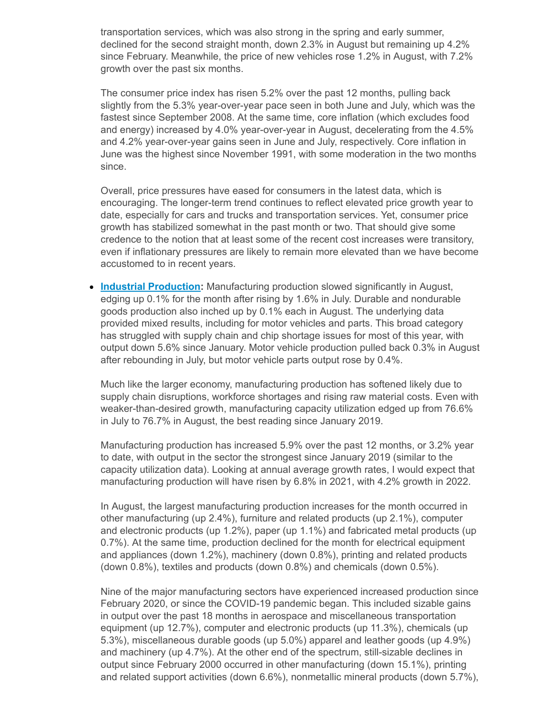transportation services, which was also strong in the spring and early summer, declined for the second straight month, down 2.3% in August but remaining up 4.2% since February. Meanwhile, the price of new vehicles rose 1.2% in August, with 7.2% growth over the past six months.

The consumer price index has risen 5.2% over the past 12 months, pulling back slightly from the 5.3% year-over-year pace seen in both June and July, which was the fastest since September 2008. At the same time, core inflation (which excludes food and energy) increased by 4.0% year-over-year in August, decelerating from the 4.5% and 4.2% year-over-year gains seen in June and July, respectively. Core inflation in June was the highest since November 1991, with some moderation in the two months since.

Overall, price pressures have eased for consumers in the latest data, which is encouraging. The longer-term trend continues to reflect elevated price growth year to date, especially for cars and trucks and transportation services. Yet, consumer price growth has stabilized somewhat in the past month or two. That should give some credence to the notion that at least some of the recent cost increases were transitory, even if inflationary pressures are likely to remain more elevated than we have become accustomed to in recent years.

**Industrial [Production](https://click.email.nam.org/?qs=e1ae04021e84bfa15c08a031c17e00b71bf8d455d55ef99131b35cb33eb3ff40ca56a24794ec74ee8fcc5e73b997567c8a2b90c8e1cfcb03):** Manufacturing production slowed significantly in August, edging up 0.1% for the month after rising by 1.6% in July. Durable and nondurable goods production also inched up by 0.1% each in August. The underlying data provided mixed results, including for motor vehicles and parts. This broad category has struggled with supply chain and chip shortage issues for most of this year, with output down 5.6% since January. Motor vehicle production pulled back 0.3% in August after rebounding in July, but motor vehicle parts output rose by 0.4%.

Much like the larger economy, manufacturing production has softened likely due to supply chain disruptions, workforce shortages and rising raw material costs. Even with weaker-than-desired growth, manufacturing capacity utilization edged up from 76.6% in July to 76.7% in August, the best reading since January 2019.

Manufacturing production has increased 5.9% over the past 12 months, or 3.2% year to date, with output in the sector the strongest since January 2019 (similar to the capacity utilization data). Looking at annual average growth rates, I would expect that manufacturing production will have risen by 6.8% in 2021, with 4.2% growth in 2022.

In August, the largest manufacturing production increases for the month occurred in other manufacturing (up 2.4%), furniture and related products (up 2.1%), computer and electronic products (up 1.2%), paper (up 1.1%) and fabricated metal products (up 0.7%). At the same time, production declined for the month for electrical equipment and appliances (down 1.2%), machinery (down 0.8%), printing and related products (down 0.8%), textiles and products (down 0.8%) and chemicals (down 0.5%).

Nine of the major manufacturing sectors have experienced increased production since February 2020, or since the COVID-19 pandemic began. This included sizable gains in output over the past 18 months in aerospace and miscellaneous transportation equipment (up 12.7%), computer and electronic products (up 11.3%), chemicals (up 5.3%), miscellaneous durable goods (up 5.0%) apparel and leather goods (up 4.9%) and machinery (up 4.7%). At the other end of the spectrum, still-sizable declines in output since February 2000 occurred in other manufacturing (down 15.1%), printing and related support activities (down 6.6%), nonmetallic mineral products (down 5.7%),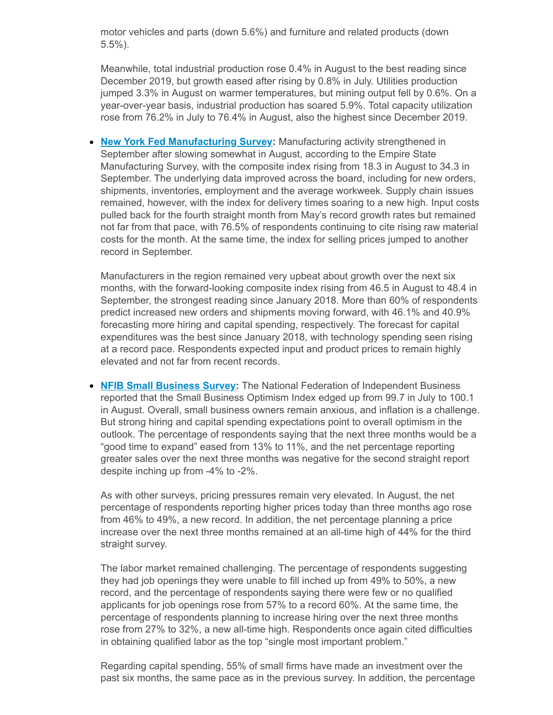motor vehicles and parts (down 5.6%) and furniture and related products (down 5.5%).

Meanwhile, total industrial production rose 0.4% in August to the best reading since December 2019, but growth eased after rising by 0.8% in July. Utilities production jumped 3.3% in August on warmer temperatures, but mining output fell by 0.6%. On a year-over-year basis, industrial production has soared 5.9%. Total capacity utilization rose from 76.2% in July to 76.4% in August, also the highest since December 2019.

**New York Fed [Manufacturing](https://click.email.nam.org/?qs=e1ae04021e84bfa1800f7c485502af0ae05b20c958c04fbc9466e7f56ab6bce991f04c30ab2f6e66b315b7d293794a80a14180bf05959c98) Survey:** Manufacturing activity strengthened in September after slowing somewhat in August, according to the Empire State Manufacturing Survey, with the composite index rising from 18.3 in August to 34.3 in September. The underlying data improved across the board, including for new orders, shipments, inventories, employment and the average workweek. Supply chain issues remained, however, with the index for delivery times soaring to a new high. Input costs pulled back for the fourth straight month from May's record growth rates but remained not far from that pace, with 76.5% of respondents continuing to cite rising raw material costs for the month. At the same time, the index for selling prices jumped to another record in September.

Manufacturers in the region remained very upbeat about growth over the next six months, with the forward-looking composite index rising from 46.5 in August to 48.4 in September, the strongest reading since January 2018. More than 60% of respondents predict increased new orders and shipments moving forward, with 46.1% and 40.9% forecasting more hiring and capital spending, respectively. The forecast for capital expenditures was the best since January 2018, with technology spending seen rising at a record pace. Respondents expected input and product prices to remain highly elevated and not far from recent records.

**NFIB Small [Business](https://click.email.nam.org/?qs=0f126c7ac43071efa19dd95cec4f303681e261396441c194d3adda7d2134f3e77834eca1f146cec29942686843c47f931fb34e90e587529f) Survey:** The National Federation of Independent Business reported that the Small Business Optimism Index edged up from 99.7 in July to 100.1 in August. Overall, small business owners remain anxious, and inflation is a challenge. But strong hiring and capital spending expectations point to overall optimism in the outlook. The percentage of respondents saying that the next three months would be a "good time to expand" eased from 13% to 11%, and the net percentage reporting greater sales over the next three months was negative for the second straight report despite inching up from -4% to -2%.

As with other surveys, pricing pressures remain very elevated. In August, the net percentage of respondents reporting higher prices today than three months ago rose from 46% to 49%, a new record. In addition, the net percentage planning a price increase over the next three months remained at an all-time high of 44% for the third straight survey.

The labor market remained challenging. The percentage of respondents suggesting they had job openings they were unable to fill inched up from 49% to 50%, a new record, and the percentage of respondents saying there were few or no qualified applicants for job openings rose from 57% to a record 60%. At the same time, the percentage of respondents planning to increase hiring over the next three months rose from 27% to 32%, a new all-time high. Respondents once again cited difficulties in obtaining qualified labor as the top "single most important problem."

Regarding capital spending, 55% of small firms have made an investment over the past six months, the same pace as in the previous survey. In addition, the percentage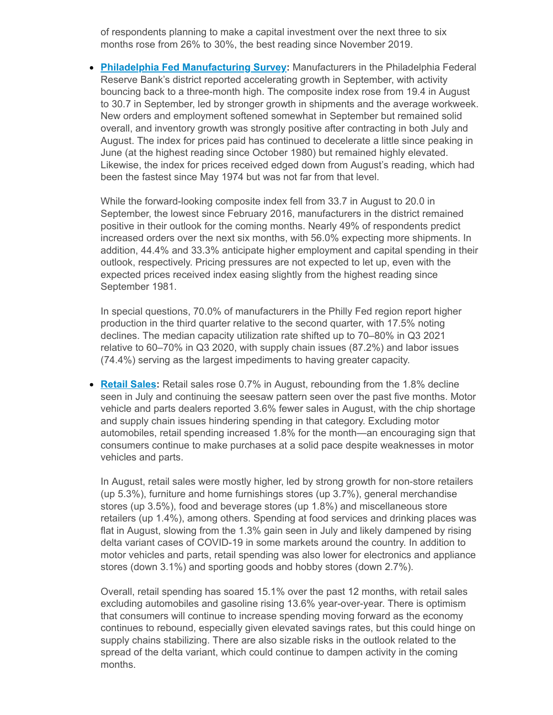of respondents planning to make a capital investment over the next three to six months rose from 26% to 30%, the best reading since November 2019.

**Philadelphia Fed [Manufacturing](https://click.email.nam.org/?qs=e1ae04021e84bfa1660549d9f617827701b380faaf9688ab8bcb2873d021b24559366fcb46a944faf88024a574d507c32db7a746ad274bf5) Survey:** Manufacturers in the Philadelphia Federal Reserve Bank's district reported accelerating growth in September, with activity bouncing back to a three-month high. The composite index rose from 19.4 in August to 30.7 in September, led by stronger growth in shipments and the average workweek. New orders and employment softened somewhat in September but remained solid overall, and inventory growth was strongly positive after contracting in both July and August. The index for prices paid has continued to decelerate a little since peaking in June (at the highest reading since October 1980) but remained highly elevated. Likewise, the index for prices received edged down from August's reading, which had been the fastest since May 1974 but was not far from that level.

While the forward-looking composite index fell from 33.7 in August to 20.0 in September, the lowest since February 2016, manufacturers in the district remained positive in their outlook for the coming months. Nearly 49% of respondents predict increased orders over the next six months, with 56.0% expecting more shipments. In addition, 44.4% and 33.3% anticipate higher employment and capital spending in their outlook, respectively. Pricing pressures are not expected to let up, even with the expected prices received index easing slightly from the highest reading since September 1981.

In special questions, 70.0% of manufacturers in the Philly Fed region report higher production in the third quarter relative to the second quarter, with 17.5% noting declines. The median capacity utilization rate shifted up to 70–80% in Q3 2021 relative to 60–70% in Q3 2020, with supply chain issues (87.2%) and labor issues (74.4%) serving as the largest impediments to having greater capacity.

**[Retail](https://click.email.nam.org/?qs=0f126c7ac43071ef5eb4e44dafa6ff79c839eb40243425b69d22150acb1a7e6f8a1402f9cad91630de01d11ad9da76409850f73793cac626) Sales:** Retail sales rose 0.7% in August, rebounding from the 1.8% decline seen in July and continuing the seesaw pattern seen over the past five months. Motor vehicle and parts dealers reported 3.6% fewer sales in August, with the chip shortage and supply chain issues hindering spending in that category. Excluding motor automobiles, retail spending increased 1.8% for the month—an encouraging sign that consumers continue to make purchases at a solid pace despite weaknesses in motor vehicles and parts.

In August, retail sales were mostly higher, led by strong growth for non-store retailers (up 5.3%), furniture and home furnishings stores (up 3.7%), general merchandise stores (up 3.5%), food and beverage stores (up 1.8%) and miscellaneous store retailers (up 1.4%), among others. Spending at food services and drinking places was flat in August, slowing from the 1.3% gain seen in July and likely dampened by rising delta variant cases of COVID-19 in some markets around the country. In addition to motor vehicles and parts, retail spending was also lower for electronics and appliance stores (down 3.1%) and sporting goods and hobby stores (down 2.7%).

Overall, retail spending has soared 15.1% over the past 12 months, with retail sales excluding automobiles and gasoline rising 13.6% year-over-year. There is optimism that consumers will continue to increase spending moving forward as the economy continues to rebound, especially given elevated savings rates, but this could hinge on supply chains stabilizing. There are also sizable risks in the outlook related to the spread of the delta variant, which could continue to dampen activity in the coming months.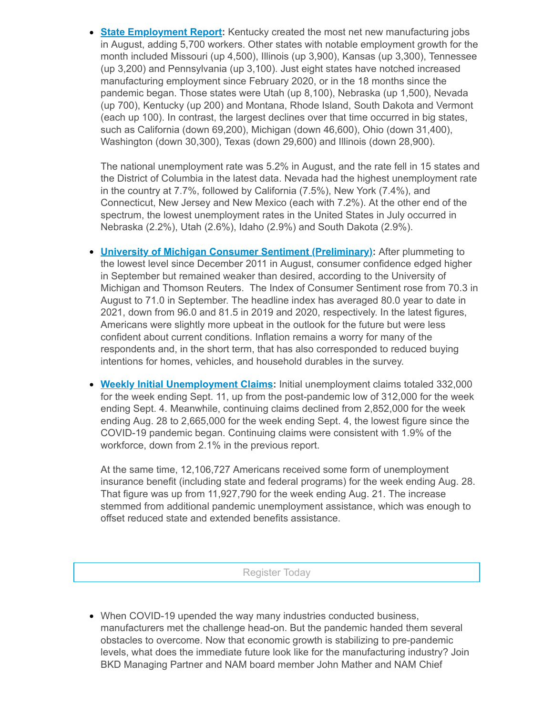**State [Employment](https://click.email.nam.org/?qs=0f126c7ac43071ef6aba8ba9ac0556acc1313a92fb42a6c86fe6e44da90684f56d50281d9d90b55c1c310b55e1c5385ce5bef76b73d7c127) Report:** Kentucky created the most net new manufacturing jobs in August, adding 5,700 workers. Other states with notable employment growth for the month included Missouri (up 4,500), Illinois (up 3,900), Kansas (up 3,300), Tennessee (up 3,200) and Pennsylvania (up 3,100). Just eight states have notched increased manufacturing employment since February 2020, or in the 18 months since the pandemic began. Those states were Utah (up 8,100), Nebraska (up 1,500), Nevada (up 700), Kentucky (up 200) and Montana, Rhode Island, South Dakota and Vermont (each up 100). In contrast, the largest declines over that time occurred in big states, such as California (down 69,200), Michigan (down 46,600), Ohio (down 31,400), Washington (down 30,300), Texas (down 29,600) and Illinois (down 28,900).

The national unemployment rate was 5.2% in August, and the rate fell in 15 states and the District of Columbia in the latest data. Nevada had the highest unemployment rate in the country at 7.7%, followed by California (7.5%), New York (7.4%), and Connecticut, New Jersey and New Mexico (each with 7.2%). At the other end of the spectrum, the lowest unemployment rates in the United States in July occurred in Nebraska (2.2%), Utah (2.6%), Idaho (2.9%) and South Dakota (2.9%).

- **University of Michigan Consumer Sentiment [\(Preliminary\):](https://click.email.nam.org/?qs=a0fc2999187e19c9cb3128ba211ff6f2f6b5f1d55b74c524effac4d4750d8848effacb1595135145bbbde4408c6b948641a8e4cc5f50e38a)** After plummeting to the lowest level since December 2011 in August, consumer confidence edged higher in September but remained weaker than desired, according to the University of Michigan and Thomson Reuters. The Index of Consumer Sentiment rose from 70.3 in August to 71.0 in September. The headline index has averaged 80.0 year to date in 2021, down from 96.0 and 81.5 in 2019 and 2020, respectively. In the latest figures, Americans were slightly more upbeat in the outlook for the future but were less confident about current conditions. Inflation remains a worry for many of the respondents and, in the short term, that has also corresponded to reduced buying intentions for homes, vehicles, and household durables in the survey.
- **Weekly Initial [Unemployment](https://click.email.nam.org/?qs=a0fc2999187e19c98bbdb8bb6b9d2f73b7305c47aa3c282f067da4048560b8f4e05422d5805a6b2afee1cbbe00b216f3910737189bfd7248) Claims:** Initial unemployment claims totaled 332,000 for the week ending Sept. 11, up from the post-pandemic low of 312,000 for the week ending Sept. 4. Meanwhile, continuing claims declined from 2,852,000 for the week ending Aug. 28 to 2,665,000 for the week ending Sept. 4, the lowest figure since the COVID-19 pandemic began. Continuing claims were consistent with 1.9% of the workforce, down from 2.1% in the previous report.

At the same time, 12,106,727 Americans received some form of unemployment insurance benefit (including state and federal programs) for the week ending Aug. 28. That figure was up from 11,927,790 for the week ending Aug. 21. The increase stemmed from additional pandemic unemployment assistance, which was enough to offset reduced state and extended benefits assistance.

Register Today

When COVID-19 upended the way many industries conducted business, manufacturers met the challenge head-on. But the pandemic handed them several obstacles to overcome. Now that economic growth is stabilizing to pre-pandemic levels, what does the immediate future look like for the manufacturing industry? Join BKD Managing Partner and NAM board member John Mather and NAM Chief